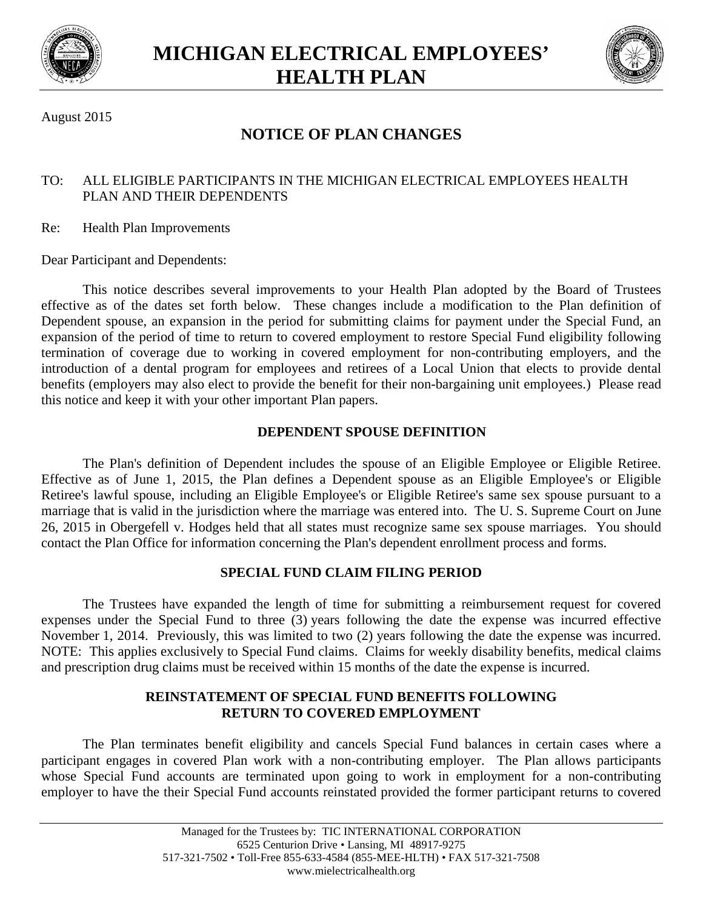



August 2015

# **NOTICE OF PLAN CHANGES**

## TO: ALL ELIGIBLE PARTICIPANTS IN THE MICHIGAN ELECTRICAL EMPLOYEES HEALTH PLAN AND THEIR DEPENDENTS

Re: Health Plan Improvements

Dear Participant and Dependents:

This notice describes several improvements to your Health Plan adopted by the Board of Trustees effective as of the dates set forth below. These changes include a modification to the Plan definition of Dependent spouse, an expansion in the period for submitting claims for payment under the Special Fund, an expansion of the period of time to return to covered employment to restore Special Fund eligibility following termination of coverage due to working in covered employment for non-contributing employers, and the introduction of a dental program for employees and retirees of a Local Union that elects to provide dental benefits (employers may also elect to provide the benefit for their non-bargaining unit employees.) Please read this notice and keep it with your other important Plan papers.

## **DEPENDENT SPOUSE DEFINITION**

The Plan's definition of Dependent includes the spouse of an Eligible Employee or Eligible Retiree. Effective as of June 1, 2015, the Plan defines a Dependent spouse as an Eligible Employee's or Eligible Retiree's lawful spouse, including an Eligible Employee's or Eligible Retiree's same sex spouse pursuant to a marriage that is valid in the jurisdiction where the marriage was entered into. The U. S. Supreme Court on June 26, 2015 in Obergefell v. Hodges held that all states must recognize same sex spouse marriages. You should contact the Plan Office for information concerning the Plan's dependent enrollment process and forms.

## **SPECIAL FUND CLAIM FILING PERIOD**

The Trustees have expanded the length of time for submitting a reimbursement request for covered expenses under the Special Fund to three (3) years following the date the expense was incurred effective November 1, 2014. Previously, this was limited to two (2) years following the date the expense was incurred. NOTE: This applies exclusively to Special Fund claims. Claims for weekly disability benefits, medical claims and prescription drug claims must be received within 15 months of the date the expense is incurred.

## **REINSTATEMENT OF SPECIAL FUND BENEFITS FOLLOWING RETURN TO COVERED EMPLOYMENT**

The Plan terminates benefit eligibility and cancels Special Fund balances in certain cases where a participant engages in covered Plan work with a non-contributing employer. The Plan allows participants whose Special Fund accounts are terminated upon going to work in employment for a non-contributing employer to have the their Special Fund accounts reinstated provided the former participant returns to covered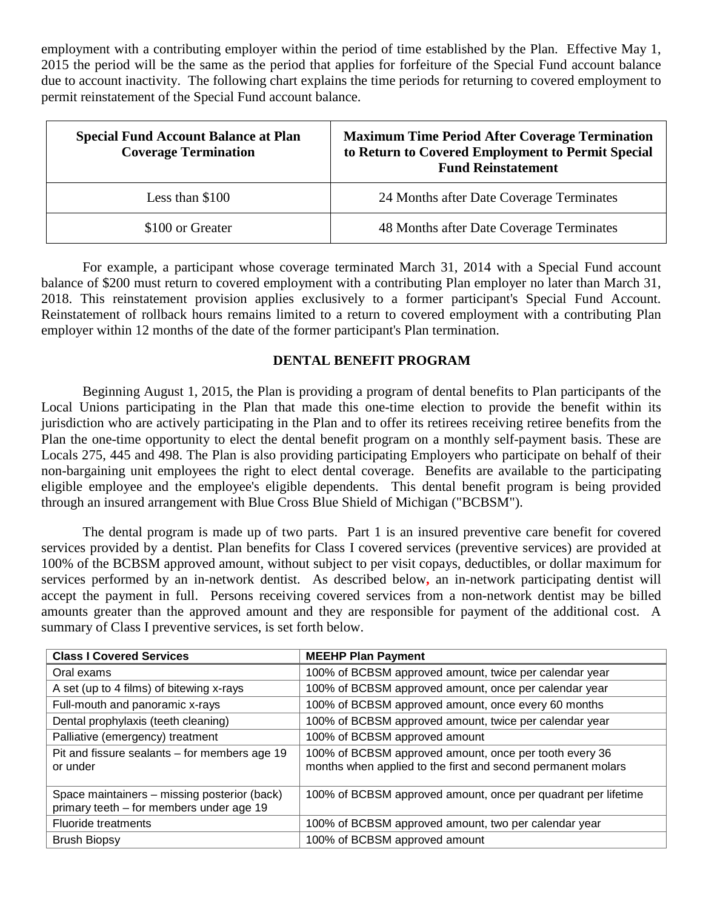employment with a contributing employer within the period of time established by the Plan. Effective May 1, 2015 the period will be the same as the period that applies for forfeiture of the Special Fund account balance due to account inactivity. The following chart explains the time periods for returning to covered employment to permit reinstatement of the Special Fund account balance.

| <b>Special Fund Account Balance at Plan</b><br><b>Coverage Termination</b> | <b>Maximum Time Period After Coverage Termination</b><br>to Return to Covered Employment to Permit Special<br><b>Fund Reinstatement</b> |
|----------------------------------------------------------------------------|-----------------------------------------------------------------------------------------------------------------------------------------|
| Less than $$100$                                                           | 24 Months after Date Coverage Terminates                                                                                                |
| \$100 or Greater                                                           | 48 Months after Date Coverage Terminates                                                                                                |

For example, a participant whose coverage terminated March 31, 2014 with a Special Fund account balance of \$200 must return to covered employment with a contributing Plan employer no later than March 31, 2018. This reinstatement provision applies exclusively to a former participant's Special Fund Account. Reinstatement of rollback hours remains limited to a return to covered employment with a contributing Plan employer within 12 months of the date of the former participant's Plan termination.

## **DENTAL BENEFIT PROGRAM**

Beginning August 1, 2015, the Plan is providing a program of dental benefits to Plan participants of the Local Unions participating in the Plan that made this one-time election to provide the benefit within its jurisdiction who are actively participating in the Plan and to offer its retirees receiving retiree benefits from the Plan the one-time opportunity to elect the dental benefit program on a monthly self-payment basis. These are Locals 275, 445 and 498. The Plan is also providing participating Employers who participate on behalf of their non-bargaining unit employees the right to elect dental coverage. Benefits are available to the participating eligible employee and the employee's eligible dependents. This dental benefit program is being provided through an insured arrangement with Blue Cross Blue Shield of Michigan ("BCBSM").

The dental program is made up of two parts. Part 1 is an insured preventive care benefit for covered services provided by a dentist. Plan benefits for Class I covered services (preventive services) are provided at 100% of the BCBSM approved amount, without subject to per visit copays, deductibles, or dollar maximum for services performed by an in-network dentist. As described below**,** an in-network participating dentist will accept the payment in full. Persons receiving covered services from a non-network dentist may be billed amounts greater than the approved amount and they are responsible for payment of the additional cost. A summary of Class I preventive services, is set forth below.

| <b>Class I Covered Services</b>                                                          | <b>MEEHP Plan Payment</b>                                                                                              |
|------------------------------------------------------------------------------------------|------------------------------------------------------------------------------------------------------------------------|
| Oral exams                                                                               | 100% of BCBSM approved amount, twice per calendar year                                                                 |
| A set (up to 4 films) of bitewing x-rays                                                 | 100% of BCBSM approved amount, once per calendar year                                                                  |
| Full-mouth and panoramic x-rays                                                          | 100% of BCBSM approved amount, once every 60 months                                                                    |
| Dental prophylaxis (teeth cleaning)                                                      | 100% of BCBSM approved amount, twice per calendar year                                                                 |
| Palliative (emergency) treatment                                                         | 100% of BCBSM approved amount                                                                                          |
| Pit and fissure sealants – for members age 19<br>or under                                | 100% of BCBSM approved amount, once per tooth every 36<br>months when applied to the first and second permanent molars |
| Space maintainers - missing posterior (back)<br>primary teeth - for members under age 19 | 100% of BCBSM approved amount, once per quadrant per lifetime                                                          |
| <b>Fluoride treatments</b>                                                               | 100% of BCBSM approved amount, two per calendar year                                                                   |
| <b>Brush Biopsy</b>                                                                      | 100% of BCBSM approved amount                                                                                          |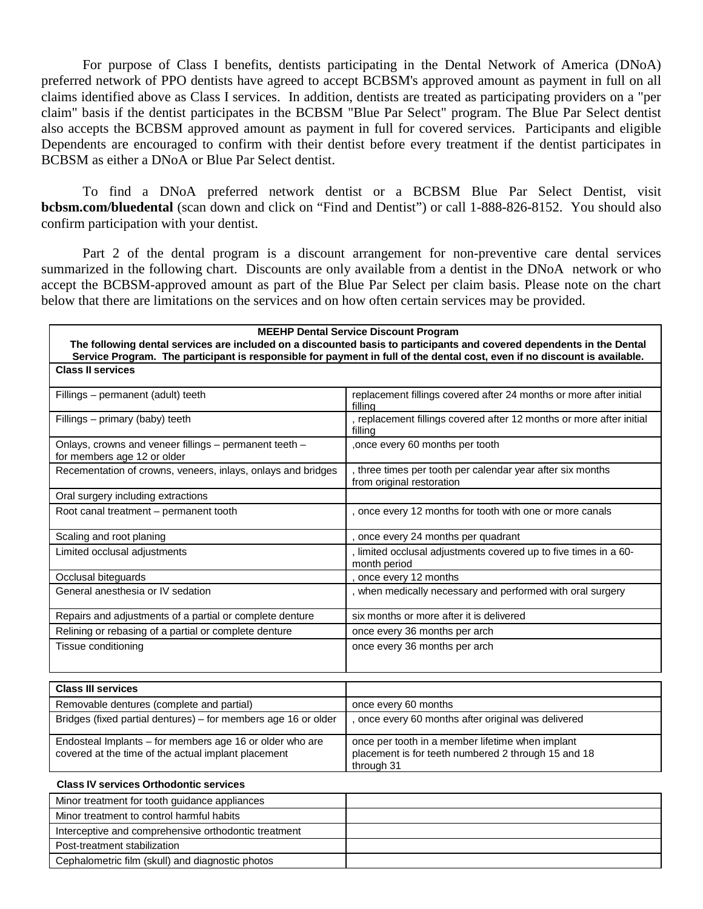For purpose of Class I benefits, dentists participating in the Dental Network of America (DNoA) preferred network of PPO dentists have agreed to accept BCBSM's approved amount as payment in full on all claims identified above as Class I services. In addition, dentists are treated as participating providers on a "per claim" basis if the dentist participates in the BCBSM "Blue Par Select" program. The Blue Par Select dentist also accepts the BCBSM approved amount as payment in full for covered services. Participants and eligible Dependents are encouraged to confirm with their dentist before every treatment if the dentist participates in BCBSM as either a DNoA or Blue Par Select dentist.

To find a DNoA preferred network dentist or a BCBSM Blue Par Select Dentist, visit **bcbsm.com/bluedental** (scan down and click on "Find and Dentist") or call 1-888-826-8152. You should also confirm participation with your dentist.

Part 2 of the dental program is a discount arrangement for non-preventive care dental services summarized in the following chart. Discounts are only available from a dentist in the DNoA network or who accept the BCBSM-approved amount as part of the Blue Par Select per claim basis. Please note on the chart below that there are limitations on the services and on how often certain services may be provided.

| <b>MEEHP Dental Service Discount Program</b><br>The following dental services are included on a discounted basis to participants and covered dependents in the Dental<br>Service Program. The participant is responsible for payment in full of the dental cost, even if no discount is available. |                                                                                                                       |  |                                    |                                                                               |
|----------------------------------------------------------------------------------------------------------------------------------------------------------------------------------------------------------------------------------------------------------------------------------------------------|-----------------------------------------------------------------------------------------------------------------------|--|------------------------------------|-------------------------------------------------------------------------------|
|                                                                                                                                                                                                                                                                                                    |                                                                                                                       |  | <b>Class II services</b>           |                                                                               |
|                                                                                                                                                                                                                                                                                                    |                                                                                                                       |  | Fillings - permanent (adult) teeth | replacement fillings covered after 24 months or more after initial<br>fillina |
| Fillings – primary (baby) teeth                                                                                                                                                                                                                                                                    | , replacement fillings covered after 12 months or more after initial<br>filling                                       |  |                                    |                                                                               |
| Onlays, crowns and veneer fillings - permanent teeth -<br>for members age 12 or older                                                                                                                                                                                                              | once every 60 months per tooth                                                                                        |  |                                    |                                                                               |
| Recementation of crowns, veneers, inlays, onlays and bridges                                                                                                                                                                                                                                       | , three times per tooth per calendar year after six months<br>from original restoration                               |  |                                    |                                                                               |
| Oral surgery including extractions                                                                                                                                                                                                                                                                 |                                                                                                                       |  |                                    |                                                                               |
| Root canal treatment - permanent tooth                                                                                                                                                                                                                                                             | , once every 12 months for tooth with one or more canals                                                              |  |                                    |                                                                               |
| Scaling and root planing                                                                                                                                                                                                                                                                           | , once every 24 months per quadrant                                                                                   |  |                                    |                                                                               |
| Limited occlusal adjustments                                                                                                                                                                                                                                                                       | , limited occlusal adjustments covered up to five times in a 60-<br>month period                                      |  |                                    |                                                                               |
| Occlusal biteguards                                                                                                                                                                                                                                                                                | once every 12 months                                                                                                  |  |                                    |                                                                               |
| General anesthesia or IV sedation                                                                                                                                                                                                                                                                  | , when medically necessary and performed with oral surgery                                                            |  |                                    |                                                                               |
| Repairs and adjustments of a partial or complete denture                                                                                                                                                                                                                                           | six months or more after it is delivered                                                                              |  |                                    |                                                                               |
| Relining or rebasing of a partial or complete denture                                                                                                                                                                                                                                              | once every 36 months per arch                                                                                         |  |                                    |                                                                               |
| Tissue conditioning                                                                                                                                                                                                                                                                                | once every 36 months per arch                                                                                         |  |                                    |                                                                               |
| <b>Class III services</b>                                                                                                                                                                                                                                                                          |                                                                                                                       |  |                                    |                                                                               |
| Removable dentures (complete and partial)                                                                                                                                                                                                                                                          | once every 60 months                                                                                                  |  |                                    |                                                                               |
| Bridges (fixed partial dentures) – for members age 16 or older                                                                                                                                                                                                                                     | , once every 60 months after original was delivered                                                                   |  |                                    |                                                                               |
| Endosteal Implants - for members age 16 or older who are<br>covered at the time of the actual implant placement                                                                                                                                                                                    | once per tooth in a member lifetime when implant<br>placement is for teeth numbered 2 through 15 and 18<br>through 31 |  |                                    |                                                                               |
| <b>Class IV services Orthodontic services</b>                                                                                                                                                                                                                                                      |                                                                                                                       |  |                                    |                                                                               |
| Minor treatment for tooth guidance appliances                                                                                                                                                                                                                                                      |                                                                                                                       |  |                                    |                                                                               |
| the contract of the contract of the contract of the contract of the contract of the contract of the contract of                                                                                                                                                                                    |                                                                                                                       |  |                                    |                                                                               |

| Minor treatment for tooth guidance appliances        |  |
|------------------------------------------------------|--|
| Minor treatment to control harmful habits            |  |
| Interceptive and comprehensive orthodontic treatment |  |
| Post-treatment stabilization                         |  |
| Cephalometric film (skull) and diagnostic photos     |  |